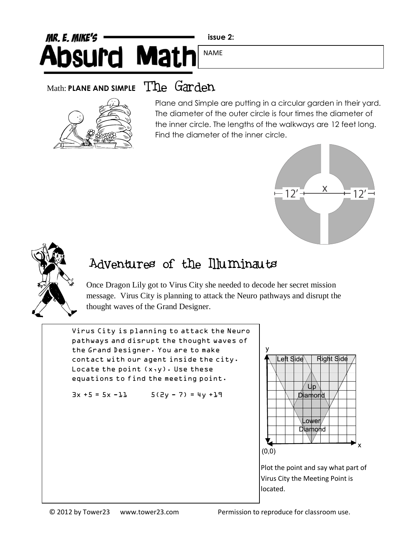## MR. E. MIKE'S **Absurd Math** NAME

**issue 2:**

## Math: **PLANE AND SIMPLE** The Garden



Plane and Simple are putting in a circular garden in their yard. The diameter of the outer circle is four times the diameter of the inner circle. The lengths of the walkways are 12 feet long. Find the diameter of the inner circle.





## Adventures of the Illuminauts

Once Dragon Lily got to Virus City she needed to decode her secret mission message. Virus City is planning to attack the Neuro pathways and disrupt the thought waves of the Grand Designer.

Virus City is planning to attack the Neuro pathways and disrupt the thought waves of the Grand Designer. You are to make contact with our agent inside the city. Locate the point  $(x,y)$ . Use these equations to find the meeting point.

 $3x + 5 = 5x - 11$   $5(2y - 7) = 4y + 17$ 



Plot the point and say what part of Virus City the Meeting Point is located.